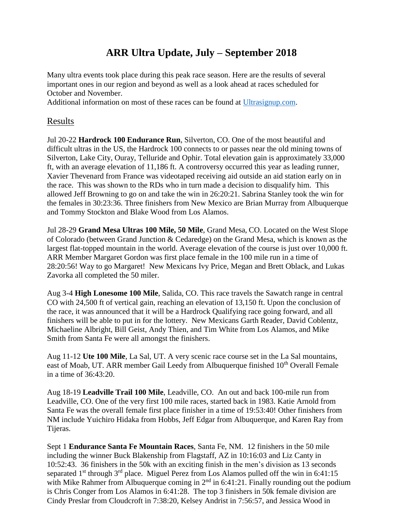## **ARR Ultra Update, July – September 2018**

Many ultra events took place during this peak race season. Here are the results of several important ones in our region and beyond as well as a look ahead at races scheduled for October and November.

Additional information on most of these races can be found at Ultrasignup.com.

## Results

Jul 20-22 **Hardrock 100 Endurance Run**, Silverton, CO. One of the most beautiful and difficult ultras in the US, the Hardrock 100 connects to or passes near the old mining towns of Silverton, Lake City, Ouray, Telluride and Ophir. Total elevation gain is approximately 33,000 ft, with an average elevation of 11,186 ft. A controversy occurred this year as leading runner, Xavier Thevenard from France was videotaped receiving aid outside an aid station early on in the race. This was shown to the RDs who in turn made a decision to disqualify him. This allowed Jeff Browning to go on and take the win in 26:20:21. Sabrina Stanley took the win for the females in 30:23:36. Three finishers from New Mexico are Brian Murray from Albuquerque and Tommy Stockton and Blake Wood from Los Alamos.

Jul 28-29 **Grand Mesa Ultras 100 Mile, 50 Mile**, Grand Mesa, CO. Located on the West Slope of Colorado (between Grand Junction & Cedaredge) on the Grand Mesa, which is known as the largest flat-topped mountain in the world. Average elevation of the course is just over 10,000 ft. ARR Member Margaret Gordon was first place female in the 100 mile run in a time of 28:20:56! Way to go Margaret! New Mexicans Ivy Price, Megan and Brett Oblack, and Lukas Zavorka all completed the 50 miler.

Aug 3-4 **High Lonesome 100 Mile**, Salida, CO. This race travels the Sawatch range in central CO with 24,500 ft of vertical gain, reaching an elevation of 13,150 ft. Upon the conclusion of the race, it was announced that it will be a Hardrock Qualifying race going forward, and all finishers will be able to put in for the lottery. New Mexicans Garth Reader, David Coblentz, Michaeline Albright, Bill Geist, Andy Thien, and Tim White from Los Alamos, and Mike Smith from Santa Fe were all amongst the finishers.

Aug 11-12 **Ute 100 Mile**, La Sal, UT. A very scenic race course set in the La Sal mountains, east of Moab, UT. ARR member Gail Leedy from Albuquerque finished 10<sup>th</sup> Overall Female in a time of 36:43:20.

Aug 18-19 **Leadville Trail 100 Mile**, Leadville, CO. An out and back 100-mile run from Leadville, CO. One of the very first 100 mile races, started back in 1983. Katie Arnold from Santa Fe was the overall female first place finisher in a time of 19:53:40! Other finishers from NM include Yuichiro Hidaka from Hobbs, Jeff Edgar from Albuquerque, and Karen Ray from Tijeras.

Sept 1 **Endurance Santa Fe Mountain Races**, Santa Fe, NM. 12 finishers in the 50 mile including the winner Buck Blakenship from Flagstaff, AZ in 10:16:03 and Liz Canty in 10:52:43. 36 finishers in the 50k with an exciting finish in the men's division as 13 seconds separated 1<sup>st</sup> through 3<sup>rd</sup> place. Miguel Perez from Los Alamos pulled off the win in 6:41:15 with Mike Rahmer from Albuquerque coming in  $2<sup>nd</sup>$  in 6:41:21. Finally rounding out the podium is Chris Conger from Los Alamos in 6:41:28. The top 3 finishers in 50k female division are Cindy Preslar from Cloudcroft in 7:38:20, Kelsey Andrist in 7:56:57, and Jessica Wood in